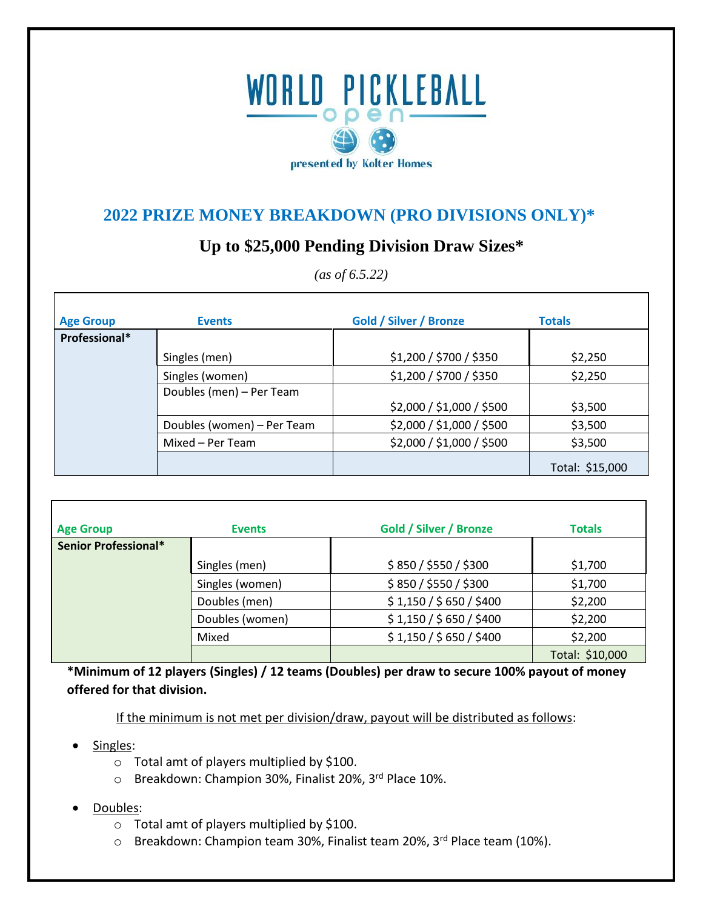## WORLD PICKLEBALL presented by Kolter Homes

## **2022 PRIZE MONEY BREAKDOWN (PRO DIVISIONS ONLY)\***

## **Up to \$25,000 Pending Division Draw Sizes\***

| <b>Age Group</b> | <b>Events</b>              | <b>Gold / Silver / Bronze</b> | <b>Totals</b>   |
|------------------|----------------------------|-------------------------------|-----------------|
| Professional*    |                            |                               |                 |
|                  | Singles (men)              | \$1,200 / \$700 / \$350       | \$2,250         |
|                  | Singles (women)            | \$1,200 / \$700 / \$350       | \$2,250         |
|                  | Doubles (men) - Per Team   |                               |                 |
|                  |                            | \$2,000 / \$1,000 / \$500     | \$3,500         |
|                  | Doubles (women) - Per Team | \$2,000 / \$1,000 / \$500     | \$3,500         |
|                  | Mixed – Per Team           | \$2,000 / \$1,000 / \$500     | \$3,500         |
|                  |                            |                               | Total: \$15,000 |

| <b>Age Group</b>     | <b>Events</b>   | <b>Gold / Silver / Bronze</b> | <b>Totals</b>   |
|----------------------|-----------------|-------------------------------|-----------------|
| Senior Professional* |                 |                               |                 |
|                      | Singles (men)   | \$850 / \$550 / \$300         | \$1,700         |
|                      | Singles (women) | \$850 / \$550 / \$300         | \$1,700         |
|                      | Doubles (men)   | \$1,150 / \$650 / \$400       | \$2,200         |
|                      | Doubles (women) | \$1,150 / \$650 / \$400       | \$2,200         |
|                      | Mixed           | \$1,150 / \$650 / \$400       | \$2,200         |
|                      |                 |                               | Total: \$10,000 |

**\*Minimum of 12 players (Singles) / 12 teams (Doubles) per draw to secure 100% payout of money offered for that division.** 

If the minimum is not met per division/draw, payout will be distributed as follows:

- Singles:
	- o Total amt of players multiplied by \$100.
	- o Breakdown: Champion 30%, Finalist 20%, 3rd Place 10%.
- Doubles:
	- o Total amt of players multiplied by \$100.
	- o Breakdown: Champion team 30%, Finalist team 20%, 3rd Place team (10%).

*(as of 6.5.22)*